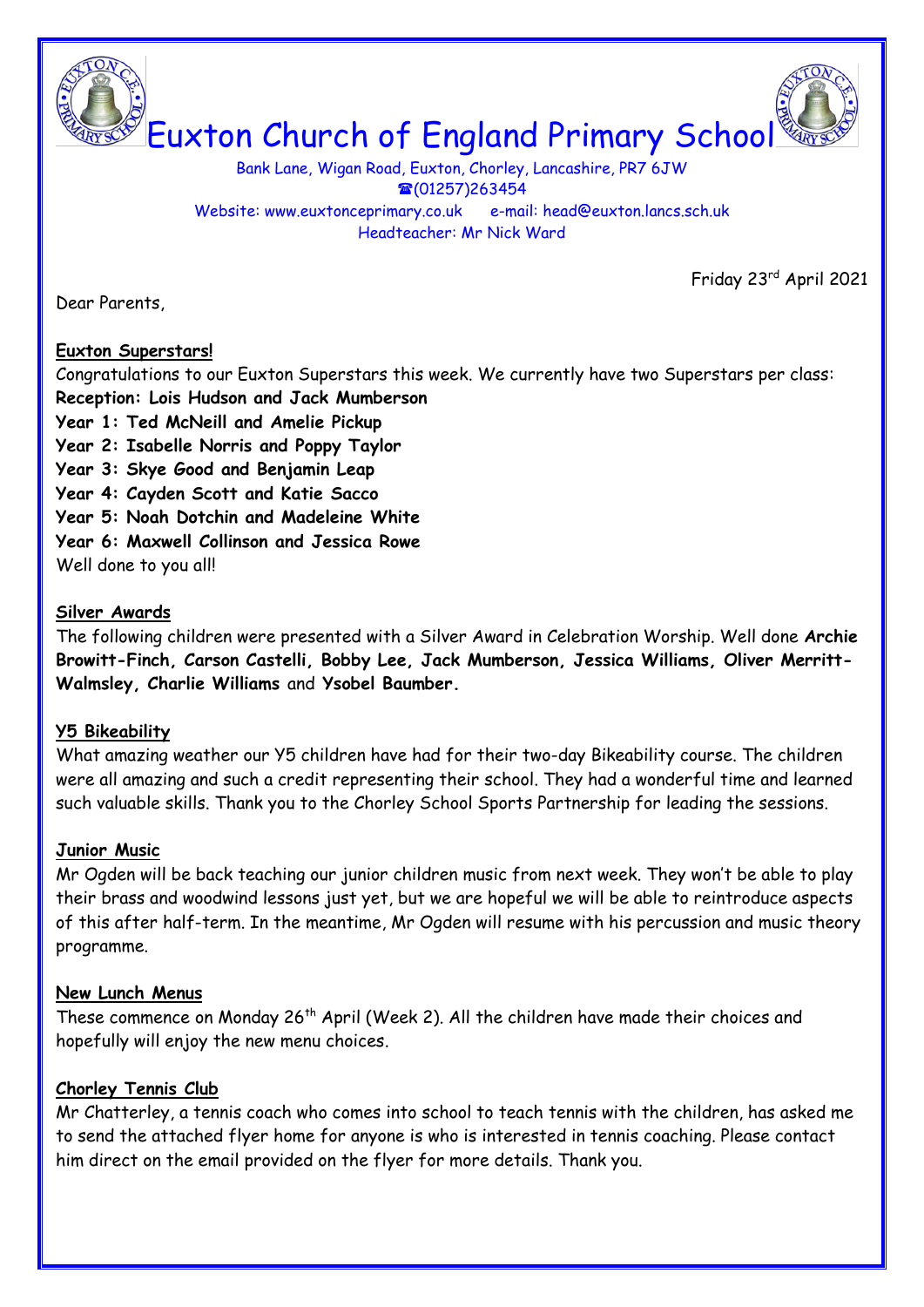

Bank Lane, Wigan Road, Euxton, Chorley, Lancashire, PR7 6JW  $\textcircled{1257}$ )263454 Website: www.euxtonceprimary.co.uk e-mail: [head@euxton.lancs.sch.uk](mailto:head@euxton.lancs.sch.uk) Headteacher: Mr Nick Ward

Friday 23rd April 2021

Dear Parents,

## **Euxton Superstars!**

Congratulations to our Euxton Superstars this week. We currently have two Superstars per class: **Reception: Lois Hudson and Jack Mumberson**

- **Year 1: Ted McNeill and Amelie Pickup**
- **Year 2: Isabelle Norris and Poppy Taylor**
- **Year 3: Skye Good and Benjamin Leap**
- **Year 4: Cayden Scott and Katie Sacco**
- **Year 5: Noah Dotchin and Madeleine White**
- **Year 6: Maxwell Collinson and Jessica Rowe**

Well done to you all!

## **Silver Awards**

The following children were presented with a Silver Award in Celebration Worship. Well done **Archie Browitt-Finch, Carson Castelli, Bobby Lee, Jack Mumberson, Jessica Williams, Oliver Merritt-Walmsley, Charlie Williams** and **Ysobel Baumber.**

## **Y5 Bikeability**

What amazing weather our Y5 children have had for their two-day Bikeability course. The children were all amazing and such a credit representing their school. They had a wonderful time and learned such valuable skills. Thank you to the Chorley School Sports Partnership for leading the sessions.

## **Junior Music**

Mr Ogden will be back teaching our junior children music from next week. They won't be able to play their brass and woodwind lessons just yet, but we are hopeful we will be able to reintroduce aspects of this after half-term. In the meantime, Mr Ogden will resume with his percussion and music theory programme.

## **New Lunch Menus**

These commence on Monday 26<sup>th</sup> April (Week 2). All the children have made their choices and hopefully will enjoy the new menu choices.

## **Chorley Tennis Club**

Mr Chatterley, a tennis coach who comes into school to teach tennis with the children, has asked me to send the attached flyer home for anyone is who is interested in tennis coaching. Please contact him direct on the email provided on the flyer for more details. Thank you.